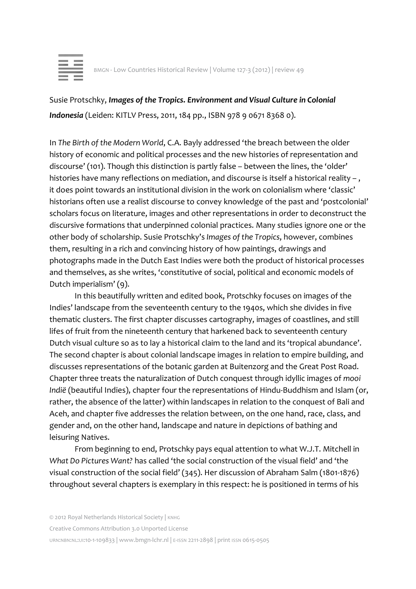

Susie Protschky, *Images of the Tropics. Environment and Visual Culture in Colonial Indonesia* (Leiden: KITLV Press, 2011, 184 pp., ISBN 978 9 0671 8368 0).

In *The Birth of the Modern World*, C.A. Bayly addressed 'the breach between the older history of economic and political processes and the new histories of representation and discourse' (101). Though this distinction is partly false – between the lines, the 'older' histories have many reflections on mediation, and discourse is itself a historical reality -, it does point towards an institutional division in the work on colonialism where 'classic' historians often use a realist discourse to convey knowledge of the past and 'postcolonial' scholars focus on literature, images and other representations in order to deconstruct the discursive formations that underpinned colonial practices. Many studies ignore one or the other body of scholarship. Susie Protschky's *Images of the Tropics*, however, combines them, resulting in a rich and convincing history of how paintings, drawings and photographs made in the Dutch East Indies were both the product of historical processes and themselves, as she writes, 'constitutive of social, political and economic models of Dutch imperialism' (9).

In this beautifully written and edited book, Protschky focuses on images of the Indies' landscape from the seventeenth century to the 1940s, which she divides in five thematic clusters. The first chapter discusses cartography, images of coastlines, and still lifes of fruit from the nineteenth century that harkened back to seventeenth century Dutch visual culture so as to lay a historical claim to the land and its 'tropical abundance'. The second chapter is about colonial landscape images in relation to empire building, and discusses representations of the botanic garden at Buitenzorg and the Great Post Road. Chapter three treats the naturalization of Dutch conquest through idyllic images of *mooi Indië* (beautiful Indies), chapter four the representations of Hindu-Buddhism and Islam (or, rather, the absence of the latter) within landscapes in relation to the conquest of Bali and Aceh, and chapter five addresses the relation between, on the one hand, race, class, and gender and, on the other hand, landscape and nature in depictions of bathing and leisuring Natives.

From beginning to end, Protschky pays equal attention to what W.J.T. Mitchell in *What Do Pictures Want?* has called 'the social construction of the visual field' and 'the visual construction of the social field' (345). Her discussion of Abraham Salm (1801-1876) throughout several chapters is exemplary in this respect: he is positioned in terms of his

Creative Commons Attribution 3.0 Unported License

URN:NBN:NL:UI:10-1-109833 | www.bmgn-lchr.nl | E-ISSN 2211-2898 | print ISSN 0615-0505

<sup>© 2012</sup> Royal Netherlands Historical Society | KNHG